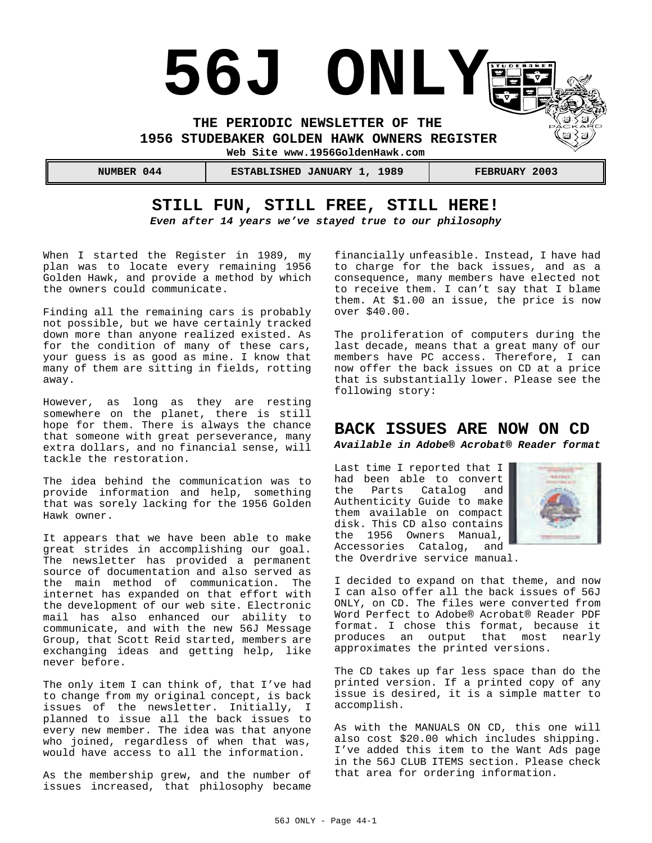

**STILL FUN, STILL FREE, STILL HERE!**

*Even after 14 years we've stayed true to our philosophy*

When I started the Register in 1989, my plan was to locate every remaining 1956 Golden Hawk, and provide a method by which the owners could communicate.

Finding all the remaining cars is probably not possible, but we have certainly tracked down more than anyone realized existed. As for the condition of many of these cars, your guess is as good as mine. I know that many of them are sitting in fields, rotting away.

However, as long as they are resting somewhere on the planet, there is still hope for them. There is always the chance that someone with great perseverance, many extra dollars, and no financial sense, will tackle the restoration.

The idea behind the communication was to provide information and help, something that was sorely lacking for the 1956 Golden Hawk owner.

It appears that we have been able to make great strides in accomplishing our goal. The newsletter has provided a permanent source of documentation and also served as the main method of communication. The internet has expanded on that effort with the development of our web site. Electronic mail has also enhanced our ability to communicate, and with the new 56J Message Group, that Scott Reid started, members are exchanging ideas and getting help, like never before.

The only item I can think of, that I've had to change from my original concept, is back issues of the newsletter. Initially, I planned to issue all the back issues to -<br>every new member. The idea was that anyone who joined, regardless of when that was, would have access to all the information.

As the membership grew, and the number of issues increased, that philosophy became

financially unfeasible. Instead, I have had to charge for the back issues, and as a consequence, many members have elected not to receive them. I can't say that I blame them. At \$1.00 an issue, the price is now over \$40.00.

The proliferation of computers during the last decade, means that a great many of our members have PC access. Therefore, I can now offer the back issues on CD at a price that is substantially lower. Please see the following story:

## **BACK ISSUES ARE NOW ON CD** *Available in Adobe® Acrobat® Reader format*

Last time I reported that I had been able to convert the Parts Catalog and Authenticity Guide to make them available on compact disk. This CD also contains the 1956 Owners Manual, Accessories Catalog, and the Overdrive service manual.



I decided to expand on that theme, and now I can also offer all the back issues of 56J ONLY, on CD. The files were converted from Word Perfect to Adobe® Acrobat® Reader PDF format. I chose this format, because it produces an output that most nearly approximates the printed versions.

The CD takes up far less space than do the printed version. If a printed copy of any issue is desired, it is a simple matter to accomplish.

As with the MANUALS ON CD, this one will also cost \$20.00 which includes shipping. I've added this item to the Want Ads page in the 56J CLUB ITEMS section. Please check that area for ordering information.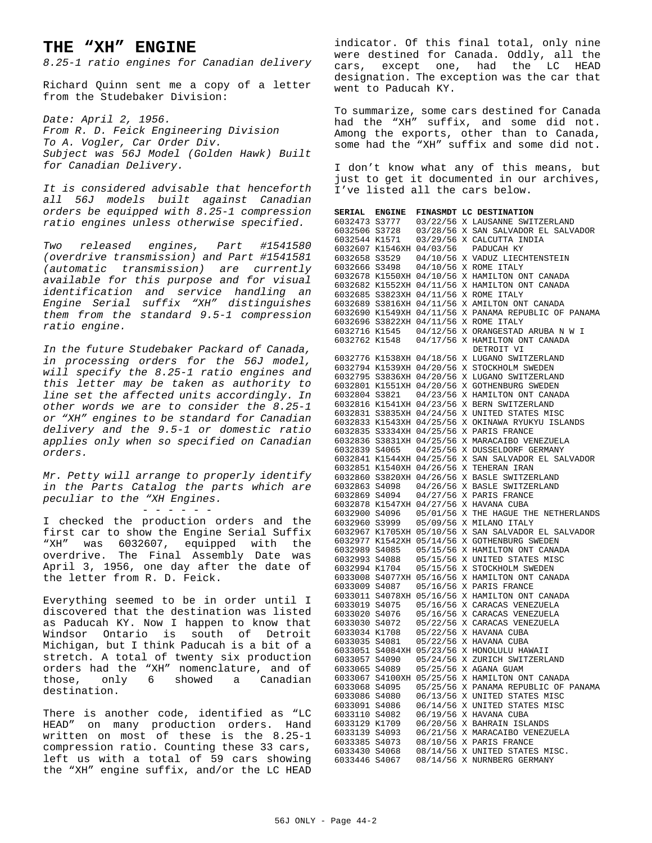## **THE "XH" ENGINE**

*8.25-1 ratio engines for Canadian delivery*

Richard Quinn sent me a copy of a letter from the Studebaker Division:

*Date: April 2, 1956. From R. D. Feick Engineering Division To A. Vogler, Car Order Div. Subject was 56J Model (Golden Hawk) Built for Canadian Delivery.*

*It is considered advisable that henceforth all 56J models built against Canadian orders be equipped with 8.25-1 compression ratio engines unless otherwise specified.*

*Two released engines, Part #1541580 (overdrive transmission) and Part #1541581 (automatic transmission) are currently available for this purpose and for visual identification and service handling an Engine Serial suffix "XH" distinguishes them from the standard 9.5-1 compression ratio engine.*

*In the future Studebaker Packard of Canada, in processing orders for the 56J model, will specify the 8.25-1 ratio engines and this letter may be taken as authority to line set the affected units accordingly. In other words we are to consider the 8.25-1 or "XH" engines to be standard for Canadian delivery and the 9.5-1 or domestic ratio applies only when so specified on Canadian orders.*

*Mr. Petty will arrange to properly identify in the Parts Catalog the parts which are peculiar to the "XH Engines.*

- - - - - -

I checked the production orders and the first car to show the Engine Serial Suffix "XH" was 6032607, equipped with the overdrive. The Final Assembly Date was April 3, 1956, one day after the date of the letter from R. D. Feick.

Everything seemed to be in order until I discovered that the destination was listed as Paducah KY. Now I happen to know that Windsor Ontario is south of Detroit Michigan, but I think Paducah is a bit of a stretch. A total of twenty six production orders had the "XH" nomenclature, and of those, only 6 showed a Canadian destination.

There is another code, identified as "LC HEAD" on many production orders. Hand written on most of these is the 8.25-1 compression ratio. Counting these 33 cars, left us with a total of 59 cars showing the "XH" engine suffix, and/or the LC HEAD

indicator. Of this final total, only nine were destined for Canada. Oddly, all the cars, except one, had the LC HEAD designation. The exception was the car that went to Paducah KY.

To summarize, some cars destined for Canada had the "XH" suffix, and some did not. Among the exports, other than to Canada, some had the "XH" suffix and some did not.

I don't know what any of this means, but just to get it documented in our archives, I've listed all the cars below.

**SERIAL ENGINE FINASMDT LC DESTINATION**

| ,,,,,,,,,,                     | <b>ENGLINE</b> |                  | FINADRDI DC DEDITINAITON                                      |
|--------------------------------|----------------|------------------|---------------------------------------------------------------|
| 6032473 S3777                  |                |                  | 03/22/56 X LAUSANNE SWITZERLAND                               |
| 6032506 S3728                  |                |                  | 03/28/56 X SAN SALVADOR EL SALVADOR                           |
| 6032544 K1571                  |                |                  | 03/29/56 X CALCUTTA INDIA                                     |
| 6032607 K1546XH 04/03/56       |                |                  | PADUCAH KY                                                    |
| 6032658 S3529                  |                | 04/10/56         | X VADUZ LIECHTENSTEIN                                         |
| 6032666 S3498                  |                | 04/10/56         | X ROME ITALY                                                  |
| 6032678 K1550XH 04/10/56       |                |                  | X HAMILTON ONT CANADA                                         |
| 6032682 K1552XH 04/11/56       |                |                  | X HAMILTON ONT CANADA                                         |
| 6032685 S3823XH 04/11/56       |                |                  | X ROME ITALY                                                  |
| 6032689 S3816XH 04/11/56       |                |                  | X AMILTON ONT CANADA                                          |
| 6032690 K1549XH 04/11/56       |                |                  | X PANAMA REPUBLIC OF PANAMA                                   |
| 6032696 S3822XH 04/11/56       |                |                  | X ROME ITALY                                                  |
| 6032716 K1545                  |                | 04/12/56         | X ORANGESTAD ARUBA N W I                                      |
| 6032762 K1548                  |                |                  | 04/17/56 X HAMILTON ONT CANADA                                |
|                                |                |                  |                                                               |
|                                |                |                  | DETROIT VI                                                    |
| 6032776 K1538XH 04/18/56       |                |                  | X LUGANO SWITZERLAND                                          |
| 6032794 K1539XH 04/20/56       |                |                  | X STOCKHOLM SWEDEN                                            |
| 6032795 S3836XH 04/20/56       |                |                  | X LUGANO SWITZERLAND                                          |
| 6032801 K1551XH 04/20/56       |                |                  | X GOTHENBURG SWEDEN                                           |
| 6032804 S3821                  |                | 04/23/56         | X HAMILTON ONT CANADA                                         |
| 6032816 K1541XH 04/23/56       |                |                  | X BERN SWITZERLAND                                            |
| 6032831 S3835XH 04/24/56       |                |                  | X UNITED STATES MISC                                          |
|                                |                |                  | 6032833 K1543XH 04/25/56 X OKINAWA RYUKYU ISLANDS             |
|                                |                |                  | 6032835 S3334XH 04/25/56 X PARIS FRANCE                       |
| 6032836 S3831XH 04/25/56       |                |                  | X MARACAIBO VENEZUELA                                         |
| 6032839 S4065                  |                | 04/25/56         | X DUSSELDORF GERMANY                                          |
|                                |                |                  | 6032841 K1544XH 04/25/56 X SAN SALVADOR EL SALVADOR           |
| 6032851 K1540XH 04/26/56       |                |                  | X TEHERAN IRAN                                                |
| 6032860 S3820XH 04/26/56       |                |                  | X BASLE SWITZERLAND                                           |
| 6032863 S4098                  |                | 04/26/56         | X BASLE SWITZERLAND                                           |
| 6032869 S4094                  |                |                  | 04/27/56 X PARIS FRANCE                                       |
|                                |                |                  | 6032878 K1547XH 04/27/56 X HAVANA CUBA                        |
| 6032900 S4096                  |                |                  | 05/01/56 X THE HAGUE THE NETHERLANDS                          |
| 6032960 S3999                  |                | 05/09/56         | X MILANO ITALY                                                |
|                                |                |                  |                                                               |
|                                |                |                  | 6032967 K1705XH 05/10/56 X SAN SALVADOR EL SALVADOR           |
|                                |                |                  | 6032977 K1542XH 05/14/56 X GOTHENBURG SWEDEN                  |
| 6032989 S4085                  |                |                  | 05/15/56 X HAMILTON ONT CANADA                                |
| 6032993 S4088                  |                | 05/15/56         | X UNITED STATES MISC                                          |
| 6032994 K1704                  |                | 05/15/56         | X STOCKHOLM SWEDEN                                            |
|                                |                |                  | 6033008 S4077XH 05/16/56 X HAMILTON ONT CANADA                |
| 6033009 S4087                  |                |                  | 05/16/56 X PARIS FRANCE                                       |
| 6033011 S4078XH 05/16/56       |                |                  | X HAMILTON ONT CANADA                                         |
| 6033019 S4075                  |                |                  | 05/16/56 X CARACAS VENEZUELA                                  |
| 6033020 S4076                  |                |                  | 05/16/56 X CARACAS VENEZUELA                                  |
| 6033030 S4072                  |                |                  | 05/22/56 X CARACAS VENEZUELA                                  |
| 6033034 K1708                  |                |                  | 05/22/56 X HAVANA CUBA                                        |
| 6033035 S4081                  |                | 05/22/56         | X HAVANA CUBA                                                 |
|                                |                |                  | 6033051 S4084XH 05/23/56 X HONOLULU HAWAII                    |
| 6033057                        | S4090          |                  | 05/24/56 X ZURICH SWITZERLAND                                 |
| 6033065 S4089                  |                |                  | 05/25/56 X AGANA GUAM                                         |
| 6033067                        |                | S4100XH 05/25/56 | X HAMILTON ONT CANADA                                         |
| 6033068 S4095                  |                | 05/25/56         | X PANAMA REPUBLIC OF PANAMA                                   |
| 6033086 S4080                  |                |                  | 06/13/56 X UNITED STATES MISC                                 |
| 6033091 S4086                  |                |                  | 06/14/56 X UNITED STATES MISC                                 |
| 6033110 S4082                  |                | 06/19/56         | X HAVANA CUBA                                                 |
| 6033129 K1709                  |                |                  | 06/20/56 X BAHRAIN ISLANDS                                    |
| 6033139 S4093                  |                |                  | 06/21/56 X MARACAIBO VENEZUELA                                |
| 6033385 S4073                  |                |                  |                                                               |
|                                |                |                  |                                                               |
|                                |                |                  | 08/10/56 X PARIS FRANCE                                       |
| 6033430 S4068<br>6033446 S4067 |                |                  | 08/14/56 X UNITED STATES MISC.<br>08/14/56 X NURNBERG GERMANY |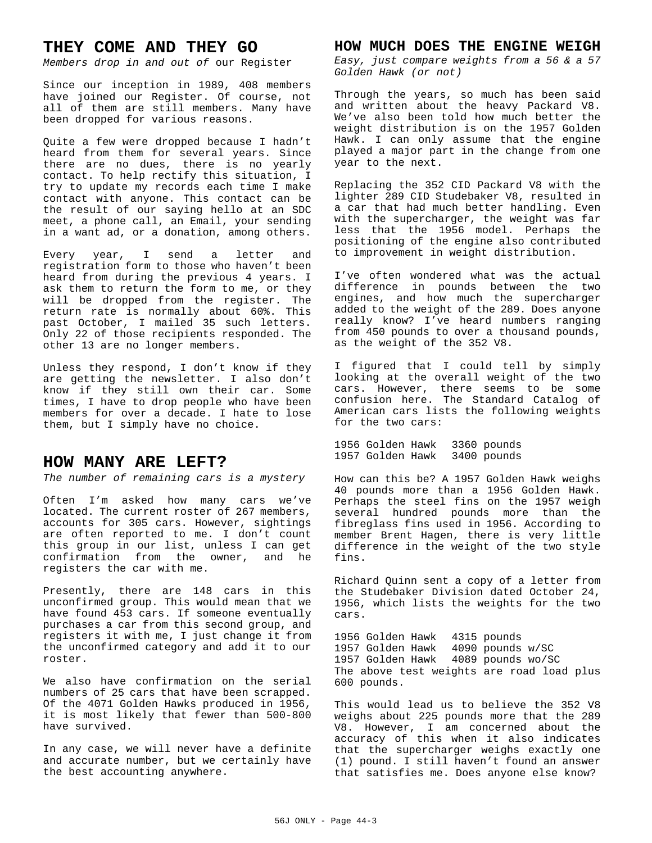## **THEY COME AND THEY GO**

*Members drop in and out of* our Register

Since our inception in 1989, 408 members have joined our Register. Of course, not all of them are still members. Many have been dropped for various reasons.

Quite a few were dropped because I hadn't heard from them for several years. Since there are no dues, there is no yearly contact. To help rectify this situation, I try to update my records each time I make contact with anyone. This contact can be the result of our saying hello at an SDC meet, a phone call, an Email, your sending in a want ad, or a donation, among others.

Every year, I send a letter and registration form to those who haven't been heard from during the previous 4 years. I ask them to return the form to me, or they will be dropped from the register. The return rate is normally about 60%. This past October, I mailed 35 such letters. Only 22 of those recipients responded. The other 13 are no longer members.

Unless they respond, I don't know if they are getting the newsletter. I also don't know if they still own their car. Some times, I have to drop people who have been members for over a decade. I hate to lose them, but I simply have no choice.

## **HOW MANY ARE LEFT?**

*The number of remaining cars is a mystery*

Often I'm asked how many cars we've located. The current roster of 267 members, accounts for 305 cars. However, sightings are often reported to me. I don't count this group in our list, unless I can get confirmation from the owner, and he registers the car with me.

Presently, there are 148 cars in this unconfirmed group. This would mean that we have found 453 cars. If someone eventually purchases a car from this second group, and registers it with me, I just change it from the unconfirmed category and add it to our roster.

We also have confirmation on the serial numbers of 25 cars that have been scrapped. Of the 4071 Golden Hawks produced in 1956, it is most likely that fewer than 500-800 have survived.

In any case, we will never have a definite and accurate number, but we certainly have the best accounting anywhere.

## **HOW MUCH DOES THE ENGINE WEIGH**

*Easy, just compare weights from a 56 & a 57 Golden Hawk (or not)*

Through the years, so much has been said and written about the heavy Packard V8. We've also been told how much better the weight distribution is on the 1957 Golden Hawk. I can only assume that the engine played a major part in the change from one year to the next.

Replacing the 352 CID Packard V8 with the lighter 289 CID Studebaker V8, resulted in a car that had much better handling. Even with the supercharger, the weight was far less that the 1956 model. Perhaps the positioning of the engine also contributed to improvement in weight distribution.

I've often wondered what was the actual difference in pounds between the two engines, and how much the supercharger added to the weight of the 289. Does anyone really know? I've heard numbers ranging from 450 pounds to over a thousand pounds, as the weight of the 352 V8.

I figured that I could tell by simply looking at the overall weight of the two cars. However, there seems to be some confusion here. The Standard Catalog of American cars lists the following weights for the two cars:

1956 Golden Hawk 3360 pounds 1957 Golden Hawk 3400 pounds

How can this be? A 1957 Golden Hawk weighs 40 pounds more than a 1956 Golden Hawk. Perhaps the steel fins on the 1957 weigh several hundred pounds more than the fibreglass fins used in 1956. According to member Brent Hagen, there is very little difference in the weight of the two style fins.

Richard Quinn sent a copy of a letter from the Studebaker Division dated October 24, 1956, which lists the weights for the two cars.

1956 Golden Hawk 4315 pounds 1957 Golden Hawk 4090 pounds w/SC 1957 Golden Hawk 4089 pounds wo/SC The above test weights are road load plus 600 pounds.

This would lead us to believe the 352 V8 weighs about 225 pounds more that the 289 V8. However, I am concerned about the accuracy of this when it also indicates that the supercharger weighs exactly one (1) pound. I still haven't found an answer that satisfies me. Does anyone else know?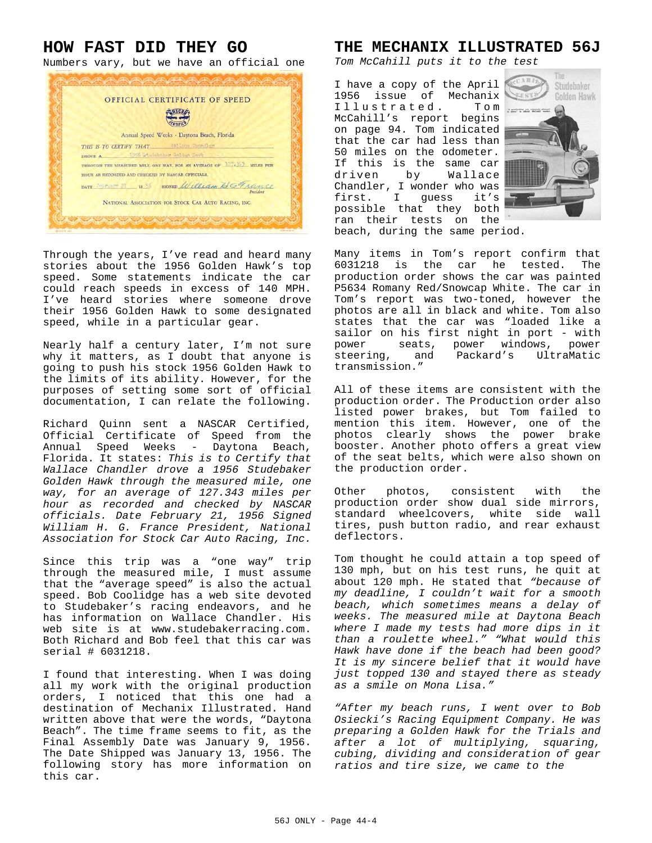# **HOW FAST DID THEY GO**

Numbers vary, but we have an official one



Through the years, I've read and heard many stories about the 1956 Golden Hawk's top speed. Some statements indicate the car could reach speeds in excess of 140 MPH. I've heard stories where someone drove their 1956 Golden Hawk to some designated speed, while in a particular gear.

Nearly half a century later, I'm not sure why it matters, as I doubt that anyone is going to push his stock 1956 Golden Hawk to the limits of its ability. However, for the purposes of setting some sort of official documentation, I can relate the following.

Richard Quinn sent a NASCAR Certified, Official Certificate of Speed from the Annual Speed Weeks - Daytona Beach, Florida. It states: *This is to Certify that Wallace Chandler drove a 1956 Studebaker Golden Hawk through the measured mile, one way, for an average of 127.343 miles per hour as recorded and checked by NASCAR officials. Date February 21, 1956 Signed William H. G. France President, National Association for Stock Car Auto Racing, Inc.*

Since this trip was a "one way" trip through the measured mile, I must assume that the "average speed" is also the actual speed. Bob Coolidge has a web site devoted to Studebaker's racing endeavors, and he has information on Wallace Chandler. His web site is at www.studebakerracing.com. Both Richard and Bob feel that this car was serial # 6031218.

I found that interesting. When I was doing all my work with the original production orders, I noticed that this one had a destination of Mechanix Illustrated. Hand written above that were the words, "Daytona Beach". The time frame seems to fit, as the Final Assembly Date was January 9, 1956. The Date Shipped was January 13, 1956. The following story has more information on this car.

### **THE MECHANIX ILLUSTRATED 56J**

*Tom McCahill puts it to the test*

I have a copy of the April 1956 issue of Mechanix Illustrated. Tom McCahill's report begins on page 94. Tom indicated that the car had less than 50 miles on the odometer. If this is the same car<br>driven by Wallace driven by Chandler, I wonder who was first. I guess it's possible that they both ran their tests on the beach, during the same period.



Many items in Tom's report confirm that<br>6031218 is the car he tested. The  $6031218$  is the car he tested. production order shows the car was painted P5634 Romany Red/Snowcap White. The car in Tom's report was two-toned, however the photos are all in black and white. Tom also states that the car was "loaded like a sailor on his first night in port - with power seats, power windows, power steering, and Packard's UltraMatic transmission."

All of these items are consistent with the production order. The Production order also listed power brakes, but Tom failed to mention this item. However, one of the photos clearly shows the power brake booster. Another photo offers a great view of the seat belts, which were also shown on the production order.

Other photos, consistent with the production order show dual side mirrors, standard wheelcovers, white side wall tires, push button radio, and rear exhaust deflectors.

Tom thought he could attain a top speed of 130 mph, but on his test runs, he quit at about 120 mph. He stated that *"because of my deadline, I couldn't wait for a smooth beach, which sometimes means a delay of weeks. The measured mile at Daytona Beach where I made my tests had more dips in it than a roulette wheel." "What would this Hawk have done if the beach had been good? It is my sincere belief that it would have just topped 130 and stayed there as steady as a smile on Mona Lisa."*

*"After my beach runs, I went over to Bob Osiecki's Racing Equipment Company. He was preparing a Golden Hawk for the Trials and after a lot of multiplying, squaring, cubing, dividing and consideration of gear ratios and tire size, we came to the*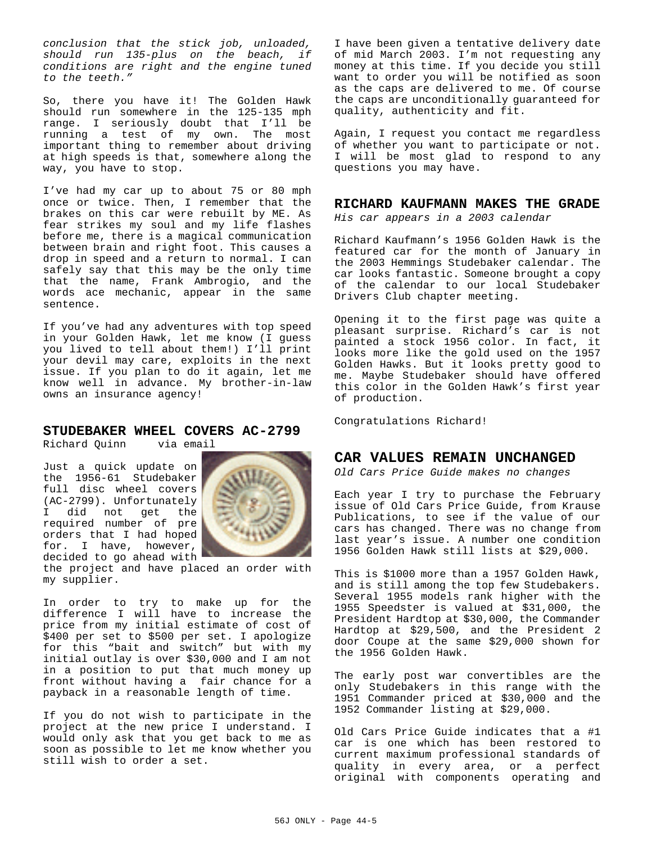*conclusion that the stick job, unloaded, should run 135-plus on the beach, if conditions are right and the engine tuned to the teeth."*

So, there you have it! The Golden Hawk should run somewhere in the 125-135 mph range. I seriously doubt that I'll be running a test of my own. The most important thing to remember about driving at high speeds is that, somewhere along the way, you have to stop.

I've had my car up to about 75 or 80 mph once or twice. Then, I remember that the brakes on this car were rebuilt by ME. As fear strikes my soul and my life flashes before me, there is a magical communication between brain and right foot. This causes a drop in speed and a return to normal. I can safely say that this may be the only time that the name, Frank Ambrogio, and the words ace mechanic, appear in the same sentence.

If you've had any adventures with top speed in your Golden Hawk, let me know (I guess you lived to tell about them!) I'll print your devil may care, exploits in the next issue. If you plan to do it again, let me know well in advance. My brother-in-law owns an insurance agency!

### **STUDEBAKER WHEEL COVERS AC-2799**

Richard Quinn via email

Just a quick update on the 1956-61 Studebaker full disc wheel covers (AC-2799). Unfortunately I did not get the required number of pre orders that I had hoped for. I have, however, decided to go ahead with



the project and have placed an order with my supplier.

In order to try to make up for the difference I will have to increase the price from my initial estimate of cost of \$400 per set to \$500 per set. I apologize for this "bait and switch" but with my initial outlay is over \$30,000 and I am not in a position to put that much money up front without having a fair chance for a payback in a reasonable length of time.

If you do not wish to participate in the project at the new price I understand. I would only ask that you get back to me as soon as possible to let me know whether you still wish to order a set.

I have been given a tentative delivery date of mid March 2003. I'm not requesting any money at this time. If you decide you still want to order you will be notified as soon as the caps are delivered to me. Of course the caps are unconditionally guaranteed for quality, authenticity and fit.

Again, I request you contact me regardless of whether you want to participate or not. I will be most glad to respond to any questions you may have.

### **RICHARD KAUFMANN MAKES THE GRADE**

*His car appears in a 2003 calendar*

Richard Kaufmann's 1956 Golden Hawk is the featured car for the month of January in the 2003 Hemmings Studebaker calendar. The car looks fantastic. Someone brought a copy of the calendar to our local Studebaker Drivers Club chapter meeting.

Opening it to the first page was quite a pleasant surprise. Richard's car is not painted a stock 1956 color. In fact, it looks more like the gold used on the 1957 Golden Hawks. But it looks pretty good to me. Maybe Studebaker should have offered this color in the Golden Hawk's first year of production.

Congratulations Richard!

### **CAR VALUES REMAIN UNCHANGED**

*Old Cars Price Guide makes no changes*

Each year I try to purchase the February issue of Old Cars Price Guide, from Krause Publications, to see if the value of our cars has changed. There was no change from last year's issue. A number one condition 1956 Golden Hawk still lists at \$29,000.

This is \$1000 more than a 1957 Golden Hawk, and is still among the top few Studebakers. Several 1955 models rank higher with the 1955 Speedster is valued at \$31,000, the President Hardtop at \$30,000, the Commander Hardtop at \$29,500, and the President 2 door Coupe at the same \$29,000 shown for the 1956 Golden Hawk.

The early post war convertibles are the only Studebakers in this range with the 1951 Commander priced at \$30,000 and the 1952 Commander listing at \$29,000.

Old Cars Price Guide indicates that a #1 car is one which has been restored to current maximum professional standards of quality in every area, or a perfect original with components operating and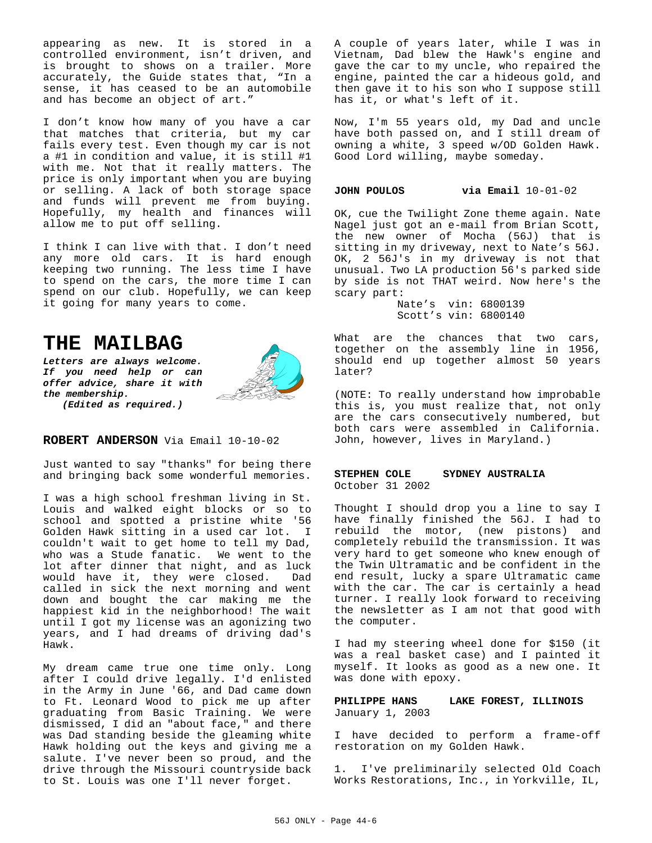appearing as new. It is stored in a controlled environment, isn't driven, and is brought to shows on a trailer. More accurately, the Guide states that, "In a sense, it has ceased to be an automobile and has become an object of art."

I don't know how many of you have a car that matches that criteria, but my car fails every test. Even though my car is not a #1 in condition and value, it is still #1 with me. Not that it really matters. The price is only important when you are buying or selling. A lack of both storage space and funds will prevent me from buying. Hopefully, my health and finances will allow me to put off selling.

I think I can live with that. I don't need any more old cars. It is hard enough keeping two running. The less time I have to spend on the cars, the more time I can spend on our club. Hopefully, we can keep it going for many years to come.

# **THE MAILBAG**

*Letters are always welcome. If you need help or can offer advice, share it with the membership. (Edited as required.)*



**ROBERT ANDERSON** Via Email 10-10-02

Just wanted to say "thanks" for being there and bringing back some wonderful memories.

I was a high school freshman living in St. Louis and walked eight blocks or so to school and spotted a pristine white '56 Golden Hawk sitting in a used car lot. I couldn't wait to get home to tell my Dad, who was a Stude fanatic. We went to the lot after dinner that night, and as luck would have it, they were closed. Dad called in sick the next morning and went down and bought the car making me the happiest kid in the neighborhood! The wait until I got my license was an agonizing two years, and I had dreams of driving dad's Hawk.

My dream came true one time only. Long after I could drive legally. I'd enlisted in the Army in June '66, and Dad came down to Ft. Leonard Wood to pick me up after graduating from Basic Training. We were dismissed, I did an "about face," and there was Dad standing beside the gleaming white Hawk holding out the keys and giving me a salute. I've never been so proud, and the drive through the Missouri countryside back to St. Louis was one I'll never forget.

A couple of years later, while I was in Vietnam, Dad blew the Hawk's engine and gave the car to my uncle, who repaired the engine, painted the car a hideous gold, and then gave it to his son who I suppose still has it, or what's left of it.

Now, I'm 55 years old, my Dad and uncle have both passed on, and I still dream of owning a white, 3 speed w/OD Golden Hawk. Good Lord willing, maybe someday.

#### **JOHN POULOS via Email** 10-01-02

OK, cue the Twilight Zone theme again. Nate Nagel just got an e-mail from Brian Scott, the new owner of Mocha (56J) that is sitting in my driveway, next to Nate's 56J. OK, 2 56J's in my driveway is not that unusual. Two LA production 56's parked side by side is not THAT weird. Now here's the scary part:

Nate's vin: 6800139 Scott's vin: 6800140

What are the chances that two cars, together on the assembly line in 1956, should end up together almost 50 years later?

(NOTE: To really understand how improbable this is, you must realize that, not only are the cars consecutively numbered, but both cars were assembled in California. John, however, lives in Maryland.)

### **STEPHEN COLE SYDNEY AUSTRALIA** October 31 2002

Thought I should drop you a line to say I have finally finished the 56J. I had to rebuild the motor, (new pistons) and completely rebuild the transmission. It was very hard to get someone who knew enough of the Twin Ultramatic and be confident in the end result, lucky a spare Ultramatic came with the car. The car is certainly a head turner. I really look forward to receiving the newsletter as I am not that good with the computer.

I had my steering wheel done for \$150 (it was a real basket case) and I painted it myself. It looks as good as a new one. It was done with epoxy.

**PHILIPPE HANS LAKE FOREST, ILLINOIS** January 1, 2003

I have decided to perform a frame-off restoration on my Golden Hawk.

1. I've preliminarily selected Old Coach Works Restorations, Inc., in Yorkville, IL,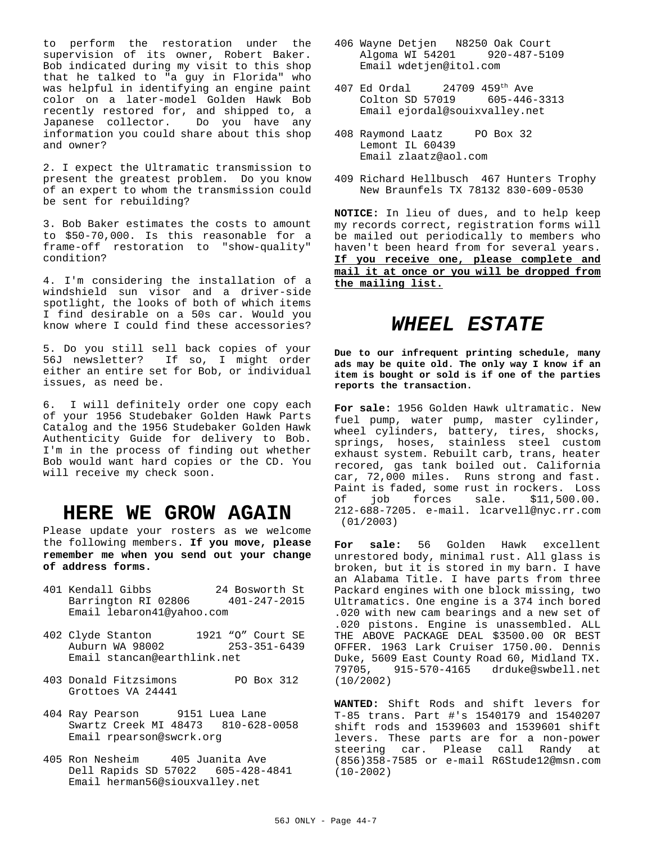to perform the restoration under the supervision of its owner, Robert Baker. Bob indicated during my visit to this shop that he talked to "a guy in Florida" who was helpful in identifying an engine paint color on a later-model Golden Hawk Bob recently restored for, and shipped to, a Japanese collector. Do you have any information you could share about this shop and owner?

2. I expect the Ultramatic transmission to present the greatest problem. Do you know of an expert to whom the transmission could be sent for rebuilding?

3. Bob Baker estimates the costs to amount to \$50-70,000. Is this reasonable for a frame-off restoration to "show-quality" condition?

4. I'm considering the installation of a windshield sun visor and a driver-side spotlight, the looks of both of which items I find desirable on a 50s car. Would you know where I could find these accessories?

5. Do you still sell back copies of your 56J newsletter? If so, I might order either an entire set for Bob, or individual issues, as need be.

6. I will definitely order one copy each of your 1956 Studebaker Golden Hawk Parts Catalog and the 1956 Studebaker Golden Hawk Authenticity Guide for delivery to Bob. I'm in the process of finding out whether Bob would want hard copies or the CD. You will receive my check soon.

# **HERE WE GROW AGAIN**

Please update your rosters as we welcome the following members. **If you move, please remember me when you send out your change of address forms.**

- 401 Kendall Gibbs 24 Bosworth St Barrington RI 02806 401-247-2015 Email lebaron41@yahoo.com
- 402 Clyde Stanton 1921 "O" Court SE Auburn WA 98002 Email stancan@earthlink.net
- 403 Donald Fitzsimons PO Box 312 Grottoes VA 24441
- 404 Ray Pearson 9151 Luea Lane Swartz Creek MI 48473 810-628-0058 Email rpearson@swcrk.org
- 405 Ron Nesheim 405 Juanita Ave Dell Rapids SD 57022 605-428-4841 Email herman56@siouxvalley.net
- 406 Wayne Detjen N8250 Oak Court Algoma WI 54201 920-487-5109 Email wdetjen@itol.com
- 407 Ed Ordal 24709 459th Ave Colton SD 57019 605-446-3313 Email ejordal@souixvalley.net
- 408 Raymond Laatz PO Box 32 Lemont IL 60439 Email zlaatz@aol.com
- 409 Richard Hellbusch 467 Hunters Trophy New Braunfels TX 78132 830-609-0530

**NOTICE:** In lieu of dues, and to help keep my records correct, registration forms will be mailed out periodically to members who haven't been heard from for several years. **If you receive one, please complete and mail it at once or you will be dropped from the mailing list.**

# *WHEEL ESTATE*

**Due to our infrequent printing schedule, many ads may be quite old. The only way I know if an item is bought or sold is if one of the parties reports the transaction.**

**For sale:** 1956 Golden Hawk ultramatic. New fuel pump, water pump, master cylinder, wheel cylinders, battery, tires, shocks, springs, hoses, stainless steel custom exhaust system. Rebuilt carb, trans, heater recored, gas tank boiled out. California car, 72,000 miles. Runs strong and fast. Paint is faded, some rust in rockers. Loss of job forces sale. \$11,500.00. 212-688-7205. e-mail. lcarvell@nyc.rr.com (01/2003)

**For sale:** 56 Golden Hawk excellent unrestored body, minimal rust. All glass is broken, but it is stored in my barn. I have an Alabama Title. I have parts from three Packard engines with one block missing, two Ultramatics. One engine is a 374 inch bored .020 with new cam bearings and a new set of .020 pistons. Engine is unassembled. ALL THE ABOVE PACKAGE DEAL \$3500.00 OR BEST OFFER. 1963 Lark Cruiser 1750.00. Dennis Duke, 5609 East County Road 60, Midland TX. 79705, 915-570-4165 drduke@swbell.net (10/2002)

**WANTED:** Shift Rods and shift levers for T-85 trans. Part #'s 1540179 and 1540207 shift rods and 1539603 and 1539601 shift levers. These parts are for a non-power steering car. Please call Randy at (856)358-7585 or e-mail R6Stude12@msn.com (10-2002)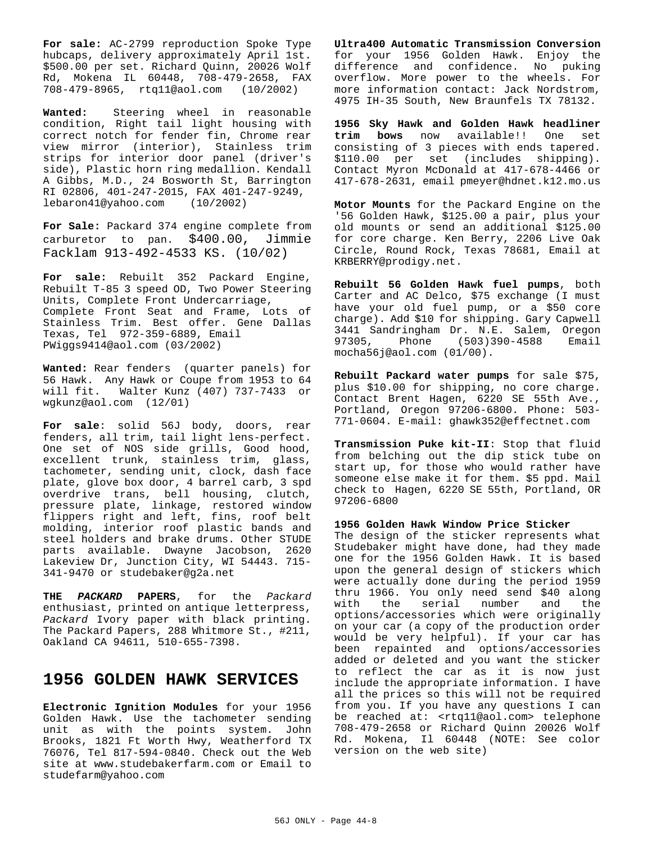**For sale:** AC-2799 reproduction Spoke Type hubcaps, delivery approximately April 1st. \$500.00 per set. Richard Quinn, 20026 Wolf Rd, Mokena IL 60448, 708-479-2658, FAX 708-479-8965, rtq11@aol.com (10/2002)

**Wanted:** Steering wheel in reasonable condition, Right tail light housing with correct notch for fender fin, Chrome rear view mirror (interior), Stainless trim strips for interior door panel (driver's side), Plastic horn ring medallion. Kendall A Gibbs, M.D., 24 Bosworth St, Barrington RI 02806, 401-247-2015, FAX 401-247-9249, lebaron41@yahoo.com (10/2002)

**For Sale:** Packard 374 engine complete from carburetor to pan. \$400.00, Jimmie Facklam 913-492-4533 KS. (10/02)

**For sale:** Rebuilt 352 Packard Engine, Rebuilt T-85 3 speed OD, Two Power Steering Units, Complete Front Undercarriage, Complete Front Seat and Frame, Lots of Stainless Trim. Best offer. Gene Dallas Texas, Tel 972-359-6889, Email PWiggs9414@aol.com (03/2002)

**Wanted:** Rear fenders (quarter panels) for 56 Hawk. Any Hawk or Coupe from 1953 to 64 will fit. Walter Kunz (407) 737-7433 or wgkunz@aol.com (12/01)

**For sale**: solid 56J body, doors, rear fenders, all trim, tail light lens-perfect. One set of NOS side grills, Good hood, excellent trunk, stainless trim, glass, tachometer, sending unit, clock, dash face plate, glove box door, 4 barrel carb, 3 spd overdrive trans, bell housing, clutch, pressure plate, linkage, restored window flippers right and left, fins, roof belt molding, interior roof plastic bands and steel holders and brake drums. Other STUDE parts available. Dwayne Jacobson, 2620 Lakeview Dr, Junction City, WI 54443. 715- 341-9470 or studebaker@g2a.net

**THE** *PACKARD* **PAPERS**, for the *Packard* enthusiast, printed on antique letterpress, *Packard* Ivory paper with black printing. The Packard Papers, 288 Whitmore St., #211, Oakland CA 94611, 510-655-7398.

# **1956 GOLDEN HAWK SERVICES**

**Electronic Ignition Modules** for your 1956 Golden Hawk. Use the tachometer sending unit as with the points system. John Brooks, 1821 Ft Worth Hwy, Weatherford TX 76076, Tel 817-594-0840. Check out the Web site at www.studebakerfarm.com or Email to studefarm@yahoo.com

**Ultra400 Automatic Transmission Conversion** for your 1956 Golden Hawk. Enjoy the difference and confidence. No puking overflow. More power to the wheels. For more information contact: Jack Nordstrom, 4975 IH-35 South, New Braunfels TX 78132.

**1956 Sky Hawk and Golden Hawk headliner trim bows** now available!! One set consisting of 3 pieces with ends tapered. \$110.00 per set (includes shipping). Contact Myron McDonald at 417-678-4466 or 417-678-2631, email pmeyer@hdnet.k12.mo.us

**Motor Mounts** for the Packard Engine on the '56 Golden Hawk, \$125.00 a pair, plus your old mounts or send an additional \$125.00 for core charge. Ken Berry, 2206 Live Oak Circle, Round Rock, Texas 78681, Email at KRBERRY@prodigy.net.

**Rebuilt 56 Golden Hawk fuel pumps**, both Carter and AC Delco, \$75 exchange (I must have your old fuel pump, or a \$50 core charge). Add \$10 for shipping. Gary Capwell 3441 Sandringham Dr. N.E. Salem, Oregon 97305, Phone (503)390-4588 Email mocha56j@aol.com (01/00).

**Rebuilt Packard water pumps** for sale \$75, plus \$10.00 for shipping, no core charge. Contact Brent Hagen, 6220 SE 55th Ave., Portland, Oregon 97206-6800. Phone: 503- 771-0604. E-mail: ghawk352@effectnet.com

**Transmission Puke kit-II**: Stop that fluid from belching out the dip stick tube on start up, for those who would rather have someone else make it for them. \$5 ppd. Mail check to Hagen, 6220 SE 55th, Portland, OR 97206-6800

**1956 Golden Hawk Window Price Sticker**

The design of the sticker represents what Studebaker might have done, had they made one for the 1956 Golden Hawk. It is based upon the general design of stickers which were actually done during the period 1959 thru 1966. You only need send \$40 along with the serial number and the options/accessories which were originally on your car (a copy of the production order would be very helpful). If your car has been repainted and options/accessories added or deleted and you want the sticker to reflect the car as it is now just include the appropriate information. I have all the prices so this will not be required from you. If you have any questions I can be reached at: <rtq11@aol.com> telephone 708-479-2658 or Richard Quinn 20026 Wolf Rd. Mokena, Il 60448 (NOTE: See color version on the web site)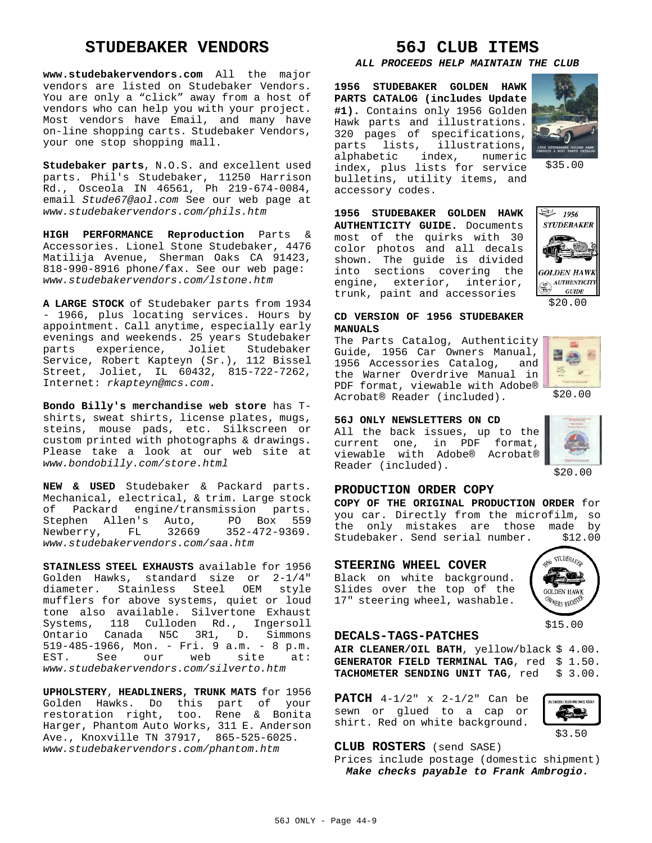## **STUDEBAKER VENDORS**

**www.studebakervendors.com** All the major vendors are listed on Studebaker Vendors. You are only a "click" away from a host of vendors who can help you with your project. Most vendors have Email, and many have on-line shopping carts. Studebaker Vendors, your one stop shopping mall.

**Studebaker parts**, N.O.S. and excellent used parts. Phil's Studebaker, 11250 Harrison Rd., Osceola IN 46561, Ph 219-674-0084, email *Stude67@aol.com* See our web page at *www.studebakervendors.com/phils.htm*

**HIGH PERFORMANCE Reproduction** Parts & Accessories. Lionel Stone Studebaker, 4476 Matilija Avenue, Sherman Oaks CA 91423, 818-990-8916 phone/fax. See our web page: *www.studebakervendors.com/lstone.htm*

**A LARGE STOCK** of Studebaker parts from 1934 - 1966, plus locating services. Hours by appointment. Call anytime, especially early evenings and weekends. 25 years Studebaker parts experience, Joliet Studebaker Service, Robert Kapteyn (Sr.), 112 Bissel Street, Joliet, IL 60432, 815-722-7262, Internet: *rkapteyn@mcs.com*.

**Bondo Billy's merchandise web store** has Tshirts, sweat shirts, license plates, mugs, steins, mouse pads, etc. Silkscreen or custom printed with photographs & drawings. Please take a look at our web site at *www.bondobilly.com/store.html*

**NEW & USED** Studebaker & Packard parts. Mechanical, electrical, & trim. Large stock of Packard engine/transmission parts.<br>Stephen Allen's Auto, PO Box 559 Stephen Allen's Auto, PO Box 559<br>Newberry, FL 32669 352-472-9369. Newberry, FL 32669 *www.studebakervendors.com/saa.htm*

**STAINLESS STEEL EXHAUSTS** available for 1956 Golden Hawks, standard size or 2-1/4" diameter. Stainless Steel OEM style mufflers for above systems, quiet or loud tone also available. Silvertone Exhaust Systems, 118 Culloden Rd., Ingersoll Ontario Canada N5C 3R1, D. Simmons 519-485-1966, Mon. - Fri. 9 a.m. - 8 p.m. EST. See our web site at: *www.studebakervendors.com/silverto.htm*

**UPHOLSTERY**, **HEADLINERS, TRUNK MATS** for 1956 Golden Hawks. Do this part of your restoration right, too. Rene & Bonita Harger, Phantom Auto Works, 311 E. Anderson Ave., Knoxville TN 37917, 865-525-6025. *www.studebakervendors.com/phantom.htm*

# **56J CLUB ITEMS**

#### *ALL PROCEEDS HELP MAINTAIN THE CLUB*

**1956 STUDEBAKER GOLDEN HAWK PARTS CATALOG (includes Update #1).** Contains only 1956 Golden Hawk parts and illustrations. 320 pages of specifications, parts lists, illustrations, alphabetic index, numeric index, plus lists for service bulletins, utility items, and accessory codes.



\$35.00

**1956 STUDEBAKER GOLDEN HAWK AUTHENTICITY GUIDE.** Documents most of the quirks with 30 color photos and all decals shown. The guide is divided into sections covering the engine, exterior, interior, trunk, paint and accessories



\$20.00

a g 蒜  $\frac{1}{2}$ 

\$20.00

### **CD VERSION OF 1956 STUDEBAKER MANUALS**

The Parts Catalog, Authenticity Guide, 1956 Car Owners Manual, 1956 Accessories Catalog, and the Warner Overdrive Manual in PDF format, viewable with Adobe® Acrobat® Reader (included).

### **56J ONLY NEWSLETTERS ON CD**

All the back issues, up to the current one, in PDF format, viewable with Adobe® Acrobat® Reader (included).

## **PRODUCTION ORDER COPY**

**COPY OF THE ORIGINAL PRODUCTION ORDER** for you car. Directly from the microfilm, so the only mistakes are those made by<br>Studebaker. Send-serial-number. \$12.00 Studebaker. Send serial number.

#### **STEERING WHEEL COVER**

Black on white background. Slides over the top of the 17" steering wheel, washable.

### **DECALS-TAGS-PATCHES**

**AIR CLEANER/OIL BATH**, yellow/black \$ 4.00. GENERATOR FIELD TERMINAL TAG, red \$ 1.50. TACHOMETER SENDING UNIT TAG, red \$ 3.00.

**PATCH** 4-1/2" x 2-1/2" Can be sewn or glued to a cap or shirt. Red on white background.



#### **CLUB ROSTERS** (send SASE)

Prices include postage (domestic shipment) *Make checks payable to Frank Ambrogio.*



\$15.00